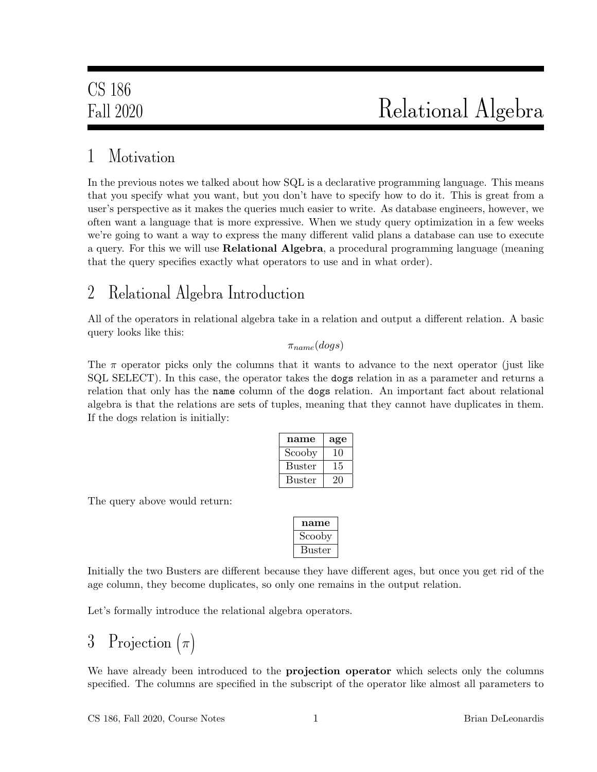### 1 Motivation

In the previous notes we talked about how SQL is a declarative programming language. This means that you specify what you want, but you don't have to specify how to do it. This is great from a user's perspective as it makes the queries much easier to write. As database engineers, however, we often want a language that is more expressive. When we study query optimization in a few weeks we're going to want a way to express the many different valid plans a database can use to execute a query. For this we will use Relational Algebra, a procedural programming language (meaning that the query specifies exactly what operators to use and in what order).

### 2 Relational Algebra Introduction

All of the operators in relational algebra take in a relation and output a different relation. A basic query looks like this:

 $\pi_{name}(dogs)$ 

The  $\pi$  operator picks only the columns that it wants to advance to the next operator (just like SQL SELECT). In this case, the operator takes the dogs relation in as a parameter and returns a relation that only has the name column of the dogs relation. An important fact about relational algebra is that the relations are sets of tuples, meaning that they cannot have duplicates in them. If the dogs relation is initially:

| name          | age |
|---------------|-----|
| Scooby        | 10  |
| <b>Buster</b> | 15  |
| <b>Buster</b> | 21  |

The query above would return:

| name   |
|--------|
| Scooby |
| Buster |

Initially the two Busters are different because they have different ages, but once you get rid of the age column, they become duplicates, so only one remains in the output relation.

Let's formally introduce the relational algebra operators.

# 3 Projection  $(\pi)$

We have already been introduced to the **projection operator** which selects only the columns specified. The columns are specified in the subscript of the operator like almost all parameters to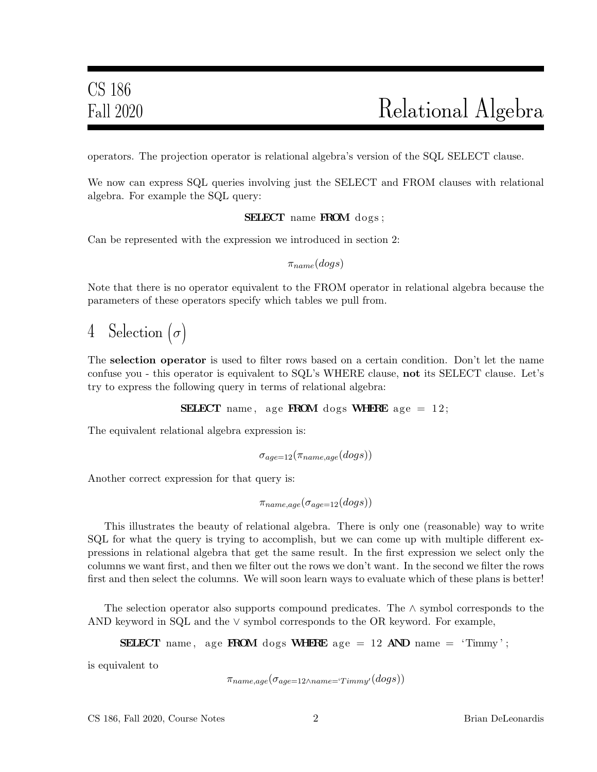operators. The projection operator is relational algebra's version of the SQL SELECT clause.

We now can express SQL queries involving just the SELECT and FROM clauses with relational algebra. For example the SQL query:

SELECT name FROM dogs;

Can be represented with the expression we introduced in section 2:

 $\pi_{name}(dogs)$ 

Note that there is no operator equivalent to the FROM operator in relational algebra because the parameters of these operators specify which tables we pull from.

4 Selection  $(\sigma)$ 

The selection operator is used to filter rows based on a certain condition. Don't let the name confuse you - this operator is equivalent to SQL's WHERE clause, not its SELECT clause. Let's try to express the following query in terms of relational algebra:

**SELECT** name, age **FROM** dogs **WHERE** age  $= 12$ ;

The equivalent relational algebra expression is:

$$
\sigma_{age=12}(\pi_{name,age}(dogs))
$$

Another correct expression for that query is:

 $\pi_{name,age}(\sigma_{age=12}(dogs))$ 

This illustrates the beauty of relational algebra. There is only one (reasonable) way to write SQL for what the query is trying to accomplish, but we can come up with multiple different expressions in relational algebra that get the same result. In the first expression we select only the columns we want first, and then we filter out the rows we don't want. In the second we filter the rows first and then select the columns. We will soon learn ways to evaluate which of these plans is better!

The selection operator also supports compound predicates. The ∧ symbol corresponds to the AND keyword in SQL and the ∨ symbol corresponds to the OR keyword. For example,

**SELECT** name, age **FROM** dogs **WHERE** age = 12 **AND** name = 'Timmy';

is equivalent to

```
\pi_{name,age}(\sigma_{age=12 \land name='}T_{immy'}(dogs))
```
CS 186, Fall 2020, Course Notes 2 Brian DeLeonardis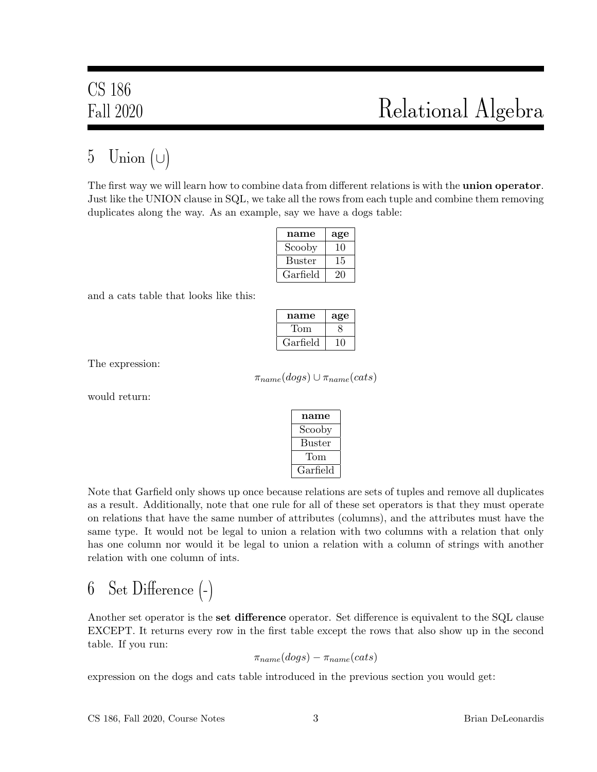### 5 Union  $(\cup)$

The first way we will learn how to combine data from different relations is with the **union operator**. Just like the UNION clause in SQL, we take all the rows from each tuple and combine them removing duplicates along the way. As an example, say we have a dogs table:

| name          | age |
|---------------|-----|
| Scooby        | 10  |
| <b>Buster</b> | 15  |
| Garfield      | 20  |

and a cats table that looks like this:

| name     | age |
|----------|-----|
| Tom      |     |
| Garfield |     |

The expression:

 $\pi_{name}(dogs) \cup \pi_{name}(cats)$ 

would return:

| name     |
|----------|
| Scooby   |
| Buster   |
| Tom      |
| Garfield |

Note that Garfield only shows up once because relations are sets of tuples and remove all duplicates as a result. Additionally, note that one rule for all of these set operators is that they must operate on relations that have the same number of attributes (columns), and the attributes must have the same type. It would not be legal to union a relation with two columns with a relation that only has one column nor would it be legal to union a relation with a column of strings with another relation with one column of ints.

6 Set Difference (-)

Another set operator is the **set difference** operator. Set difference is equivalent to the SQL clause EXCEPT. It returns every row in the first table except the rows that also show up in the second table. If you run:

 $\pi_{name}(dogs) - \pi_{name}(cats)$ 

expression on the dogs and cats table introduced in the previous section you would get: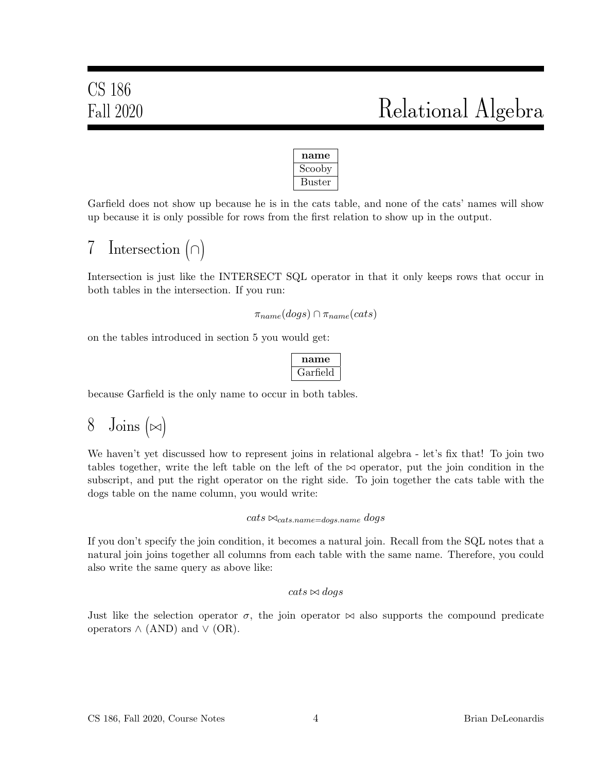

Garfield does not show up because he is in the cats table, and none of the cats' names will show up because it is only possible for rows from the first relation to show up in the output.

## 7 Intersection (∩)

Intersection is just like the INTERSECT SQL operator in that it only keeps rows that occur in both tables in the intersection. If you run:

```
\pi_{name}(dogs) \cap \pi_{name}(cats)
```
on the tables introduced in section 5 you would get:

$$
\fbox{name}\hbox{Garfield}
$$

because Garfield is the only name to occur in both tables.

## 8 Joins  $(\bowtie)$

We haven't yet discussed how to represent joins in relational algebra - let's fix that! To join two tables together, write the left table on the left of the  $\bowtie$  operator, put the join condition in the subscript, and put the right operator on the right side. To join together the cats table with the dogs table on the name column, you would write:

#### $\textit{cats} \Join_{\textit{cats.name}=doas.name} dogs$

If you don't specify the join condition, it becomes a natural join. Recall from the SQL notes that a natural join joins together all columns from each table with the same name. Therefore, you could also write the same query as above like:

#### $cats \bowtie dogs$

Just like the selection operator  $\sigma$ , the join operator  $\bowtie$  also supports the compound predicate operators  $\wedge$  (AND) and  $\vee$  (OR).